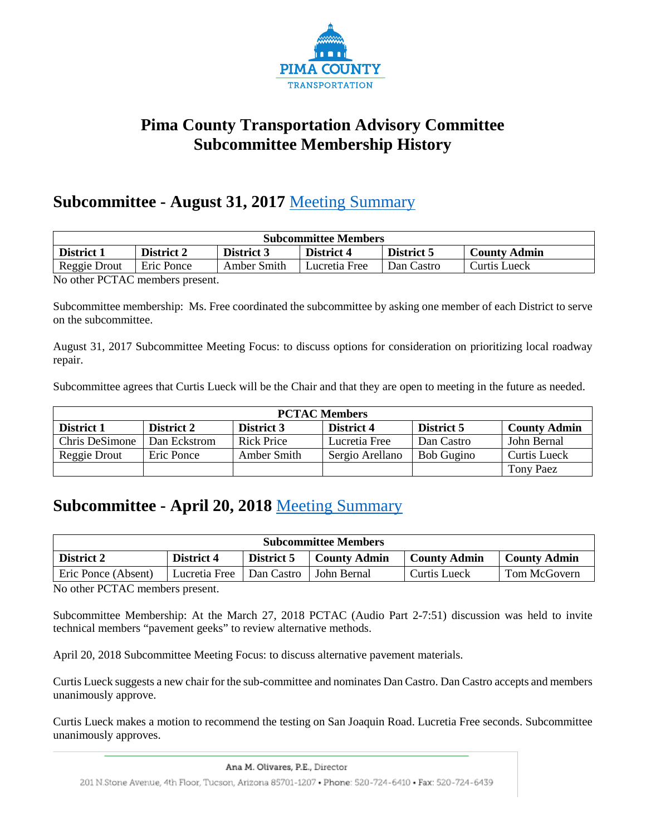

### **Pima County Transportation Advisory Committee Subcommittee Membership History**

#### **Subcommittee - August 31, 2017** [Meeting Summary](http://webcms.pima.gov/UserFiles/Servers/Server_6/File/Government/Transportation/TransportationAdvisoryCommittee/Minutes/PCTAC%20Sub-committee%20meeting%20170831.pdf)

| <b>Subcommittee Members</b>                                                                             |                                                                          |  |  |  |  |  |  |  |  |
|---------------------------------------------------------------------------------------------------------|--------------------------------------------------------------------------|--|--|--|--|--|--|--|--|
| District 5<br>District 4<br>District 3<br><b>District 1</b><br><b>District 2</b><br><b>County Admin</b> |                                                                          |  |  |  |  |  |  |  |  |
| Reggie Drout                                                                                            | Eric Ponce<br>Amber Smith<br>Lucretia Free<br>Dan Castro<br>Curtis Lueck |  |  |  |  |  |  |  |  |
| $\mathbf{v}$ $\mathbf{v}$ $\mathbf{v}$ $\mathbf{v}$ $\mathbf{v}$ $\mathbf{v}$                           |                                                                          |  |  |  |  |  |  |  |  |

No other PCTAC members present.

Subcommittee membership: Ms. Free coordinated the subcommittee by asking one member of each District to serve on the subcommittee.

August 31, 2017 Subcommittee Meeting Focus: to discuss options for consideration on prioritizing local roadway repair.

Subcommittee agrees that Curtis Lueck will be the Chair and that they are open to meeting in the future as needed.

| <b>PCTAC Members</b>                                                                             |              |            |               |            |             |  |  |  |  |
|--------------------------------------------------------------------------------------------------|--------------|------------|---------------|------------|-------------|--|--|--|--|
| <b>County Admin</b><br>District 2<br>District 4<br>District 5<br>District 1<br><b>District 3</b> |              |            |               |            |             |  |  |  |  |
| Chris DeSimone                                                                                   | Dan Eckstrom | Rick Price | Lucretia Free | Dan Castro | John Bernal |  |  |  |  |
| Amber Smith<br>Sergio Arellano<br>Curtis Lueck<br>Bob Gugino<br>Reggie Drout<br>Eric Ponce       |              |            |               |            |             |  |  |  |  |
|                                                                                                  |              |            |               |            | Tony Paez   |  |  |  |  |

## **Subcommittee - April 20, 2018** [Meeting Summary](http://webcms.pima.gov/UserFiles/Servers/Server_6/File/Government/Transportation/TransportationAdvisoryCommittee/Minutes/180420%20PCTAC%20Sub%20Committee%20Meeting%20Minutes%201.pdf)

| <b>Subcommittee Members</b>                                                                                                                                                                                                                                                                                                        |                                                                                               |  |  |  |  |  |  |  |
|------------------------------------------------------------------------------------------------------------------------------------------------------------------------------------------------------------------------------------------------------------------------------------------------------------------------------------|-----------------------------------------------------------------------------------------------|--|--|--|--|--|--|--|
| District 2                                                                                                                                                                                                                                                                                                                         | District 5<br><b>County Admin</b><br>District 4<br><b>County Admin</b><br><b>County Admin</b> |  |  |  |  |  |  |  |
| Tom McGovern<br>Eric Ponce (Absent)<br>Lucretia Free<br>Curtis Lueck<br>Dan Castro   John Bernal                                                                                                                                                                                                                                   |                                                                                               |  |  |  |  |  |  |  |
| $\mathbf{v}$ $\mathbf{v}$ $\mathbf{v}$ $\mathbf{v}$ $\mathbf{v}$ $\mathbf{v}$ $\mathbf{v}$ $\mathbf{v}$ $\mathbf{v}$ $\mathbf{v}$ $\mathbf{v}$ $\mathbf{v}$ $\mathbf{v}$ $\mathbf{v}$ $\mathbf{v}$ $\mathbf{v}$ $\mathbf{v}$ $\mathbf{v}$ $\mathbf{v}$ $\mathbf{v}$ $\mathbf{v}$ $\mathbf{v}$ $\mathbf{v}$ $\mathbf{v}$ $\mathbf{$ |                                                                                               |  |  |  |  |  |  |  |

No other PCTAC members present.

Subcommittee Membership: At the March 27, 2018 PCTAC (Audio Part 2-7:51) discussion was held to invite technical members "pavement geeks" to review alternative methods.

April 20, 2018 Subcommittee Meeting Focus: to discuss alternative pavement materials.

Curtis Lueck suggests a new chair for the sub-committee and nominates Dan Castro. Dan Castro accepts and members unanimously approve.

Curtis Lueck makes a motion to recommend the testing on San Joaquin Road. Lucretia Free seconds. Subcommittee unanimously approves.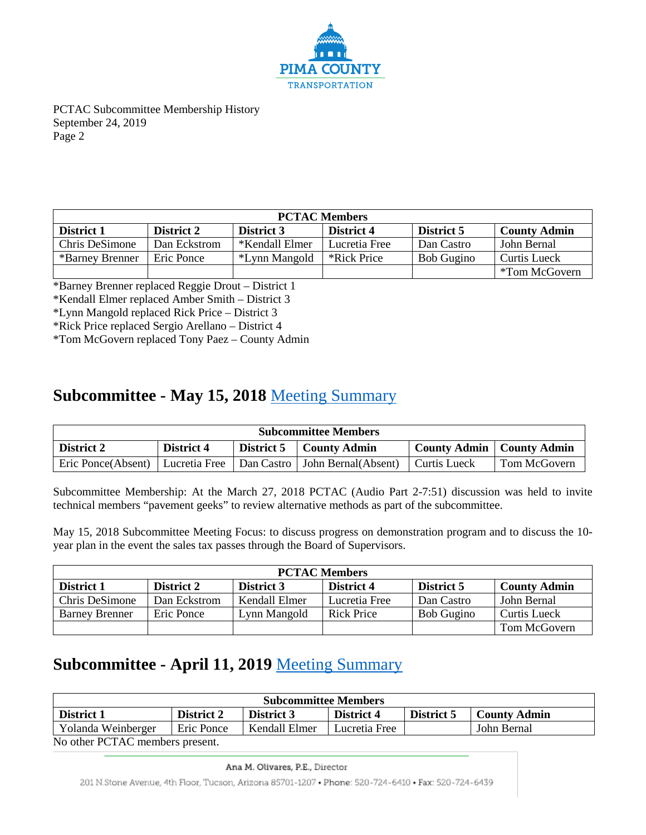

| <b>PCTAC Members</b>                                                                                    |                     |                |               |            |               |  |  |  |  |
|---------------------------------------------------------------------------------------------------------|---------------------|----------------|---------------|------------|---------------|--|--|--|--|
| <b>County Admin</b><br>District 5<br>District 1<br>District 4<br><b>District 2</b><br><b>District 3</b> |                     |                |               |            |               |  |  |  |  |
| Chris DeSimone                                                                                          | Dan Eckstrom        | *Kendall Elmer | Lucretia Free | Dan Castro | John Bernal   |  |  |  |  |
| *Barney Brenner                                                                                         | <b>Curtis Lueck</b> |                |               |            |               |  |  |  |  |
|                                                                                                         |                     |                |               |            | *Tom McGovern |  |  |  |  |

\*Barney Brenner replaced Reggie Drout – District 1

\*Kendall Elmer replaced Amber Smith – District 3

\*Lynn Mangold replaced Rick Price – District 3

\*Rick Price replaced Sergio Arellano – District 4

\*Tom McGovern replaced Tony Paez – County Admin

### **Subcommittee - May 15, 2018** [Meeting Summary](http://webcms.pima.gov/UserFiles/Servers/Server_6/File/Government/Transportation/TransportationAdvisoryCommittee/Minutes/180515_SubCommitteeMtgMinutesFinal.pdf)

| <b>Subcommittee Members</b>                                                                           |                                                                                |  |  |  |  |  |  |  |
|-------------------------------------------------------------------------------------------------------|--------------------------------------------------------------------------------|--|--|--|--|--|--|--|
| District 2                                                                                            | District 4<br><b>County Admin</b>   County Admin<br>District 5<br>County Admin |  |  |  |  |  |  |  |
| Eric Ponce(Absent)   Lucretia Free   Dan Castro   John Bernal(Absent)<br>Tom McGovern<br>Curtis Lueck |                                                                                |  |  |  |  |  |  |  |

Subcommittee Membership: At the March 27, 2018 PCTAC (Audio Part 2-7:51) discussion was held to invite technical members "pavement geeks" to review alternative methods as part of the subcommittee.

May 15, 2018 Subcommittee Meeting Focus: to discuss progress on demonstration program and to discuss the 10 year plan in the event the sales tax passes through the Board of Supervisors.

| <b>PCTAC Members</b>                                                                      |              |               |               |                   |              |  |  |  |  |
|-------------------------------------------------------------------------------------------|--------------|---------------|---------------|-------------------|--------------|--|--|--|--|
| District 5<br><b>County Admin</b><br>District 1<br>District 4<br>District 2<br>District 3 |              |               |               |                   |              |  |  |  |  |
| Chris DeSimone                                                                            | Dan Eckstrom | Kendall Elmer | Lucretia Free | Dan Castro        | John Bernal  |  |  |  |  |
| <b>Barney Brenner</b>                                                                     | Eric Ponce   | Lynn Mangold  | Rick Price    | <b>Bob Gugino</b> | Curtis Lueck |  |  |  |  |
|                                                                                           |              |               |               |                   | Tom McGovern |  |  |  |  |

## **Subcommittee - April 11, 2019** [Meeting Summary](http://webcms.pima.gov/UserFiles/Servers/Server_6/File/Government/Transportation/TransportationAdvisoryCommittee/Minutes/20190411_Approved_Sub-CommitteeMtg_Minutes.pdf)

| <b>Subcommittee Members</b>                                                                      |  |  |  |  |  |  |  |  |
|--------------------------------------------------------------------------------------------------|--|--|--|--|--|--|--|--|
| <b>District 1</b><br>District 4<br><b>County Admin</b><br>District 2<br>District 3<br>District 5 |  |  |  |  |  |  |  |  |
| Yolanda Weinberger<br>Eric Ponce<br>Kendall Elmer<br>John Bernal<br>Lucretia Free                |  |  |  |  |  |  |  |  |
| $\mathbf{M}$ $\mathbf{M}$                                                                        |  |  |  |  |  |  |  |  |

No other PCTAC members present.

201 N.Stone Avenue, 4th Floor, Tucson, Arizona 85701-1207 . Phone: 520-724-6410 . Fax: 520-724-6439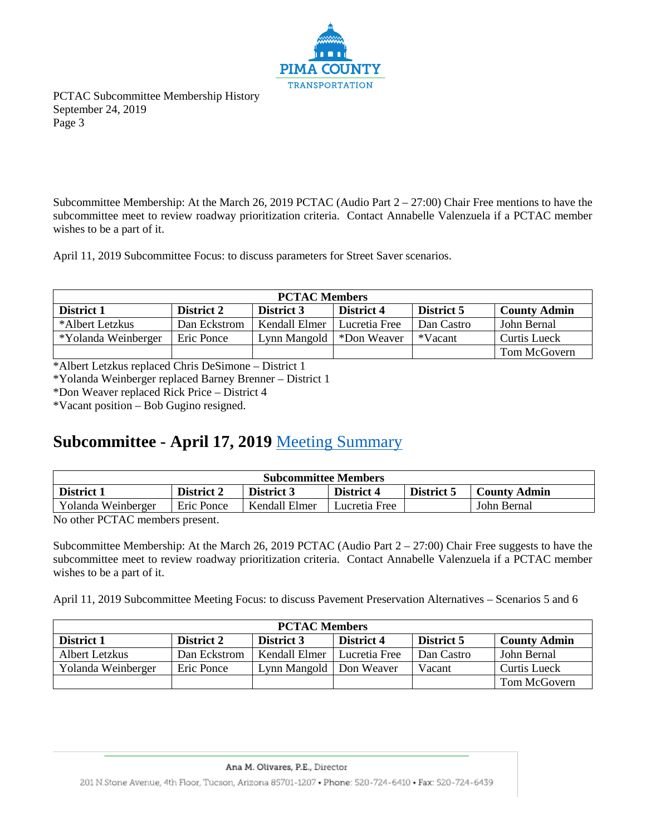

Subcommittee Membership: At the March 26, 2019 PCTAC (Audio Part 2 – 27:00) Chair Free mentions to have the subcommittee meet to review roadway prioritization criteria. Contact Annabelle Valenzuela if a PCTAC member wishes to be a part of it.

April 11, 2019 Subcommittee Focus: to discuss parameters for Street Saver scenarios.

| <b>PCTAC Members</b>                                                                        |              |               |               |            |              |  |  |  |  |
|---------------------------------------------------------------------------------------------|--------------|---------------|---------------|------------|--------------|--|--|--|--|
| <b>County Admin</b><br>District 2<br>District 5<br>District 1<br>District 3<br>District 4   |              |               |               |            |              |  |  |  |  |
| *Albert Letzkus                                                                             | Dan Eckstrom | Kendall Elmer | Lucretia Free | Dan Castro | John Bernal  |  |  |  |  |
| *Yolanda Weinberger<br>*Vacant<br>Curtis Lueck<br>Lynn Mangold<br>*Don Weaver<br>Eric Ponce |              |               |               |            |              |  |  |  |  |
|                                                                                             |              |               |               |            | Tom McGovern |  |  |  |  |

\*Albert Letzkus replaced Chris DeSimone – District 1

\*Yolanda Weinberger replaced Barney Brenner – District 1

\*Don Weaver replaced Rick Price – District 4

\*Vacant position – Bob Gugino resigned.

### **Subcommittee - April 17, 2019** [Meeting Summary](http://webcms.pima.gov/UserFiles/Servers/Server_6/File/Government/Transportation/TransportationAdvisoryCommittee/Minutes/0417.%202019_SubcommitteeMinutesFinal.pdf)

| <b>Subcommittee Members</b>                                                                             |            |               |               |  |             |  |  |  |  |
|---------------------------------------------------------------------------------------------------------|------------|---------------|---------------|--|-------------|--|--|--|--|
| <b>District 1</b><br>District 2<br><b>District 4</b><br>District 3<br>District 5<br><b>County Admin</b> |            |               |               |  |             |  |  |  |  |
| Yolanda Weinberger                                                                                      | Eric Ponce | Kendall Elmer | Lucretia Free |  | John Bernal |  |  |  |  |

No other PCTAC members present.

Subcommittee Membership: At the March 26, 2019 PCTAC (Audio Part 2 – 27:00) Chair Free suggests to have the subcommittee meet to review roadway prioritization criteria. Contact Annabelle Valenzuela if a PCTAC member wishes to be a part of it.

April 11, 2019 Subcommittee Meeting Focus: to discuss Pavement Preservation Alternatives – Scenarios 5 and 6

| <b>PCTAC Members</b>                                                                             |              |               |               |            |              |  |  |  |  |
|--------------------------------------------------------------------------------------------------|--------------|---------------|---------------|------------|--------------|--|--|--|--|
| District 5<br><b>County Admin</b><br>District 1<br>District 2<br>District 4<br><b>District 3</b> |              |               |               |            |              |  |  |  |  |
| Albert Letzkus                                                                                   | Dan Eckstrom | Kendall Elmer | Lucretia Free | Dan Castro | John Bernal  |  |  |  |  |
| Yolanda Weinberger<br>Curtis Lueck<br>Lynn Mangold   Don Weaver<br>Vacant<br>Eric Ponce          |              |               |               |            |              |  |  |  |  |
|                                                                                                  |              |               |               |            | Tom McGovern |  |  |  |  |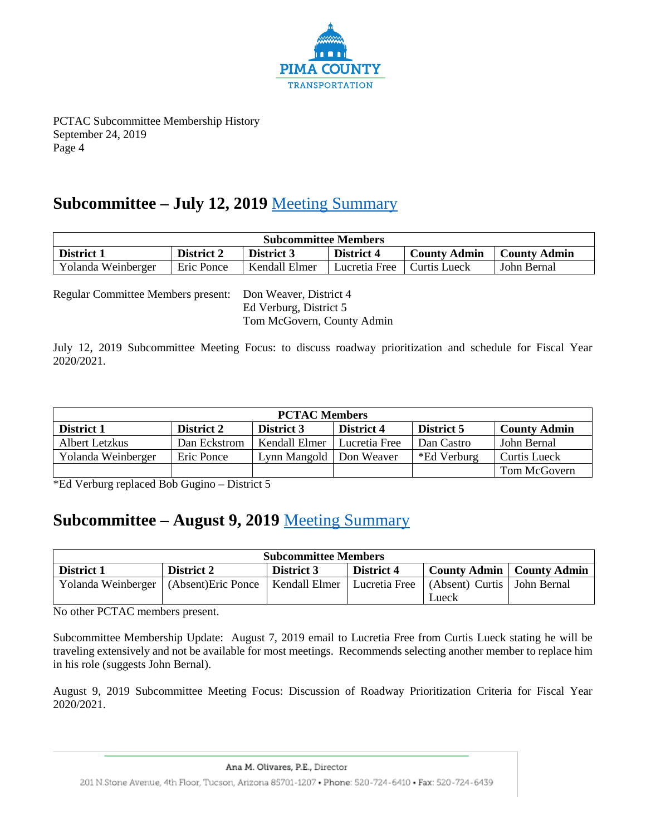

#### **Subcommittee – July 12, 2019** [Meeting Summary](http://webcms.pima.gov/UserFiles/Servers/Server_6/File/Government/Transportation/TransportationAdvisoryCommittee/Minutes/07122019_SubCommitteeMinutesFinal.pdf)

| <b>Subcommittee Members</b> |                                                                                                    |               |               |              |             |  |  |  |
|-----------------------------|----------------------------------------------------------------------------------------------------|---------------|---------------|--------------|-------------|--|--|--|
| <b>District 1</b>           | <b>District 4</b><br><b>District 2</b><br><b>District 3</b><br>County Admin<br><b>County Admin</b> |               |               |              |             |  |  |  |
| Yolanda Weinberger          | Eric Ponce                                                                                         | Kendall Elmer | Lucretia Free | Curtis Lueck | John Bernal |  |  |  |

Regular Committee Members present: Don Weaver, District 4

Ed Verburg, District 5 Tom McGovern, County Admin

July 12, 2019 Subcommittee Meeting Focus: to discuss roadway prioritization and schedule for Fiscal Year 2020/2021.

| <b>PCTAC Members</b>                                                                                    |              |                           |               |             |                     |  |  |  |  |
|---------------------------------------------------------------------------------------------------------|--------------|---------------------------|---------------|-------------|---------------------|--|--|--|--|
| <b>County Admin</b><br>District 5<br>District 1<br>District 2<br><b>District 4</b><br><b>District 3</b> |              |                           |               |             |                     |  |  |  |  |
| Albert Letzkus                                                                                          | Dan Eckstrom | Kendall Elmer             | Lucretia Free | Dan Castro  | John Bernal         |  |  |  |  |
| Yolanda Weinberger                                                                                      | Eric Ponce   | Lynn Mangold   Don Weaver |               | *Ed Verburg | <b>Curtis Lueck</b> |  |  |  |  |
|                                                                                                         |              |                           |               |             | Tom McGovern        |  |  |  |  |

\*Ed Verburg replaced Bob Gugino – District 5

# **Subcommittee – August 9, 2019** [Meeting Summary](http://webcms.pima.gov/UserFiles/Servers/Server_6/File/Government/Transportation/TransportationAdvisoryCommittee/Minutes/20190809_%20PCTAC-SubcommitteeMtg_DraftSummary.pdf)

| <b>Subcommittee Members</b> |                                                          |                   |               |                               |  |  |
|-----------------------------|----------------------------------------------------------|-------------------|---------------|-------------------------------|--|--|
| District 1                  | District 2                                               | <b>District 3</b> | District 4    | County Admin   County Admin   |  |  |
|                             | Yolanda Weinberger   (Absent) Eric Ponce   Kendall Elmer |                   | Lucretia Free | (Absent) Curtis   John Bernal |  |  |
|                             |                                                          |                   |               | Lueck                         |  |  |

No other PCTAC members present.

Subcommittee Membership Update: August 7, 2019 email to Lucretia Free from Curtis Lueck stating he will be traveling extensively and not be available for most meetings. Recommends selecting another member to replace him in his role (suggests John Bernal).

August 9, 2019 Subcommittee Meeting Focus: Discussion of Roadway Prioritization Criteria for Fiscal Year 2020/2021.